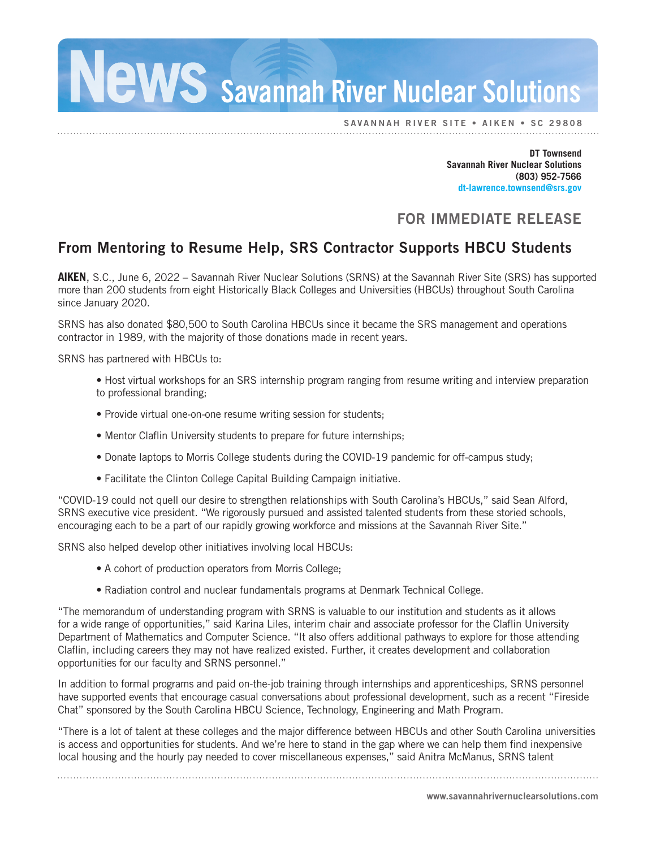## **EWS** Savannah River Nuclear Solutions

SAVANNAH RIVER SITE • AIKEN • SC 29808

**DT Townsend Savannah River Nuclear Solutions (803) 952-7566 dt-lawrence.townsend@srs.gov**

#### FOR IMMEDIATE RELEASE

### From Mentoring to Resume Help, SRS Contractor Supports HBCU Students

**AIKEN**, S.C., June 6, 2022 – Savannah River Nuclear Solutions (SRNS) at the Savannah River Site (SRS) has supported more than 200 students from eight Historically Black Colleges and Universities (HBCUs) throughout South Carolina since January 2020.

SRNS has also donated \$80,500 to South Carolina HBCUs since it became the SRS management and operations contractor in 1989, with the majority of those donations made in recent years.

SRNS has partnered with HBCUs to:

- Host virtual workshops for an SRS internship program ranging from resume writing and interview preparation to professional branding;
- Provide virtual one-on-one resume writing session for students;
- Mentor Claflin University students to prepare for future internships;
- Donate laptops to Morris College students during the COVID-19 pandemic for off-campus study;
- Facilitate the Clinton College Capital Building Campaign initiative.

"COVID-19 could not quell our desire to strengthen relationships with South Carolina's HBCUs," said Sean Alford, SRNS executive vice president. "We rigorously pursued and assisted talented students from these storied schools, encouraging each to be a part of our rapidly growing workforce and missions at the Savannah River Site."

SRNS also helped develop other initiatives involving local HBCUs:

- A cohort of production operators from Morris College;
- Radiation control and nuclear fundamentals programs at Denmark Technical College.

"The memorandum of understanding program with SRNS is valuable to our institution and students as it allows for a wide range of opportunities," said Karina Liles, interim chair and associate professor for the Claflin University Department of Mathematics and Computer Science. "It also offers additional pathways to explore for those attending Claflin, including careers they may not have realized existed. Further, it creates development and collaboration opportunities for our faculty and SRNS personnel."

In addition to formal programs and paid on-the-job training through internships and apprenticeships, SRNS personnel have supported events that encourage casual conversations about professional development, such as a recent "Fireside Chat" sponsored by the South Carolina HBCU Science, Technology, Engineering and Math Program.

"There is a lot of talent at these colleges and the major difference between HBCUs and other South Carolina universities is access and opportunities for students. And we're here to stand in the gap where we can help them find inexpensive local housing and the hourly pay needed to cover miscellaneous expenses," said Anitra McManus, SRNS talent